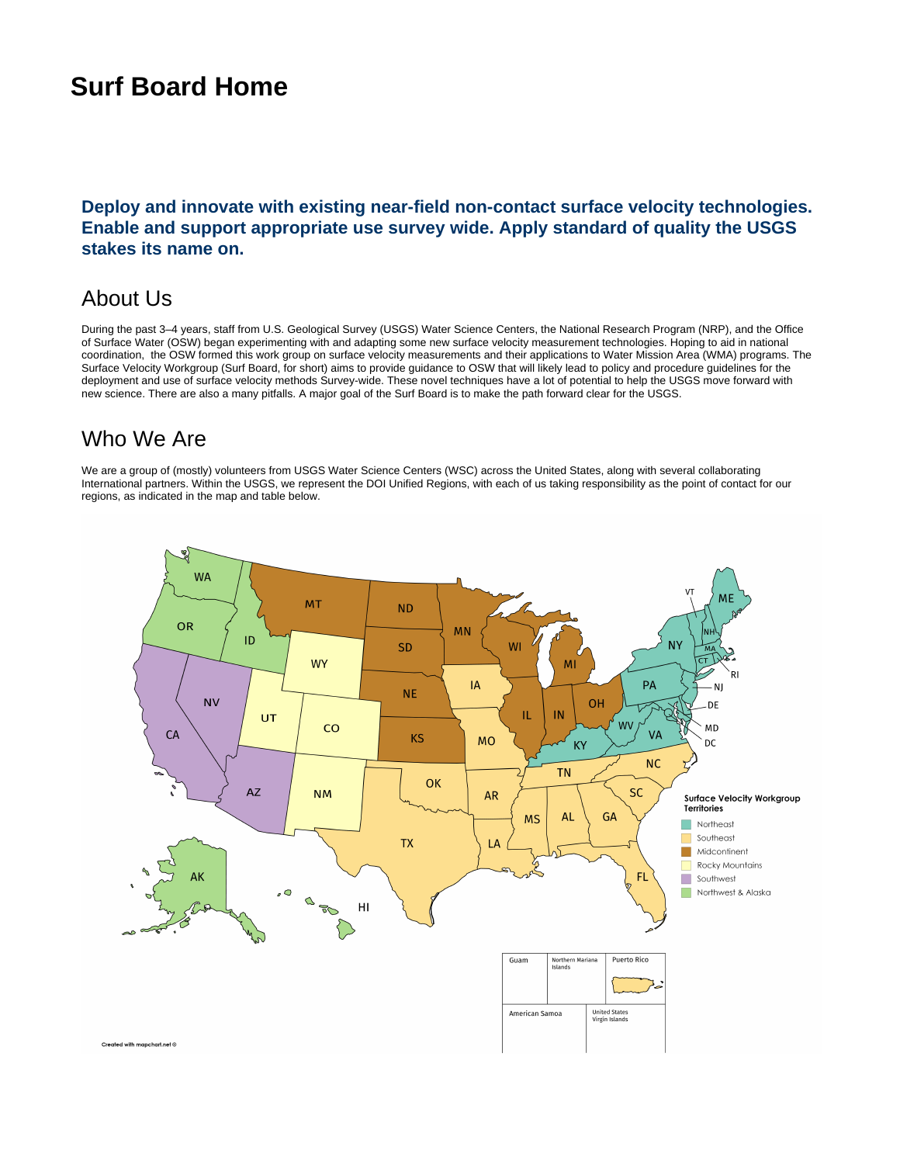# **Surf Board Home**

#### **Deploy and innovate with existing near-field non-contact surface velocity technologies. Enable and support appropriate use survey wide. Apply standard of quality the USGS stakes its name on.**

# About Us

During the past 3–4 years, staff from U.S. Geological Survey (USGS) Water Science Centers, the National Research Program (NRP), and the Office of Surface Water (OSW) began experimenting with and adapting some new surface velocity measurement technologies. Hoping to aid in national coordination, the OSW formed this work group on surface velocity measurements and their applications to Water Mission Area (WMA) programs. The Surface Velocity Workgroup (Surf Board, for short) aims to provide guidance to OSW that will likely lead to policy and procedure guidelines for the deployment and use of surface velocity methods Survey-wide. These novel techniques have a lot of potential to help the USGS move forward with new science. There are also a many pitfalls. A major goal of the Surf Board is to make the path forward clear for the USGS.

## Who We Are

We are a group of (mostly) volunteers from USGS Water Science Centers (WSC) across the United States, along with several collaborating International partners. Within the USGS, we represent the DOI Unified Regions, with each of us taking responsibility as the point of contact for our regions, as indicated in the map and table below.